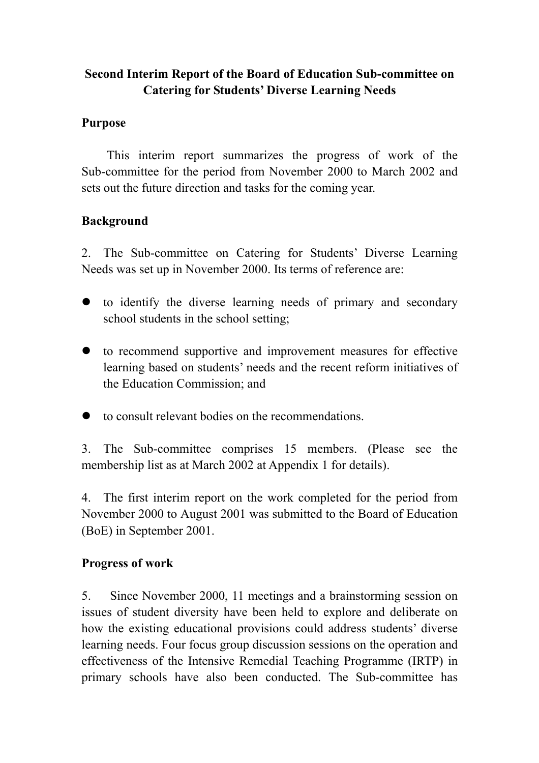### **Second Interim Report of the Board of Education Sub-committee on Catering for Students' Diverse Learning Needs**

#### **Purpose**

This interim report summarizes the progress of work of the Sub-committee for the period from November 2000 to March 2002 and sets out the future direction and tasks for the coming year.

#### **Background**

2. The Sub-committee on Catering for Students' Diverse Learning Needs was set up in November 2000. Its terms of reference are:

- to identify the diverse learning needs of primary and secondary school students in the school setting;
- to recommend supportive and improvement measures for effective learning based on students' needs and the recent reform initiatives of the Education Commission; and
- $\bullet$  to consult relevant bodies on the recommendations.

3. The Sub-committee comprises 15 members. (Please see the membership list as at March 2002 at Appendix 1 for details).

4. The first interim report on the work completed for the period from November 2000 to August 2001 was submitted to the Board of Education (BoE) in September 2001.

#### **Progress of work**

5. Since November 2000, 11 meetings and a brainstorming session on issues of student diversity have been held to explore and deliberate on how the existing educational provisions could address students' diverse learning needs. Four focus group discussion sessions on the operation and effectiveness of the Intensive Remedial Teaching Programme (IRTP) in primary schools have also been conducted. The Sub-committee has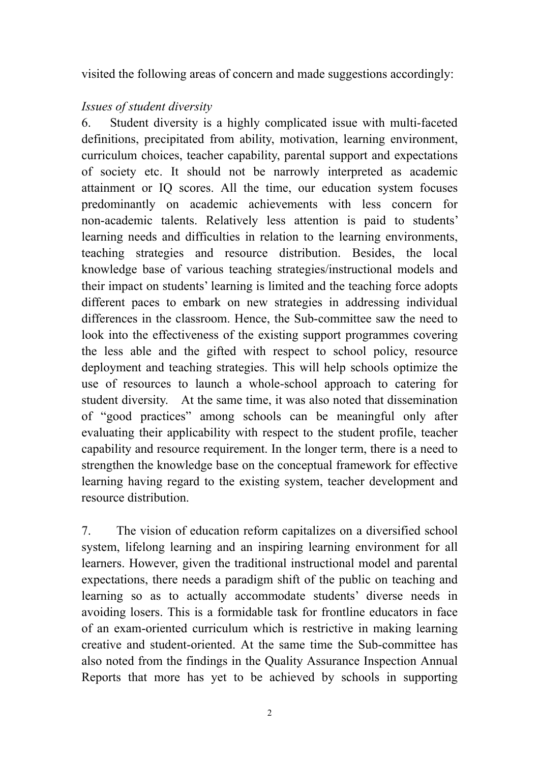visited the following areas of concern and made suggestions accordingly:

#### *Issues of student diversity*

6. Student diversity is a highly complicated issue with multi-faceted definitions, precipitated from ability, motivation, learning environment, curriculum choices, teacher capability, parental support and expectations of society etc. It should not be narrowly interpreted as academic attainment or IQ scores. All the time, our education system focuses predominantly on academic achievements with less concern for non-academic talents. Relatively less attention is paid to students' learning needs and difficulties in relation to the learning environments, teaching strategies and resource distribution. Besides, the local knowledge base of various teaching strategies/instructional models and their impact on students' learning is limited and the teaching force adopts different paces to embark on new strategies in addressing individual differences in the classroom. Hence, the Sub-committee saw the need to look into the effectiveness of the existing support programmes covering the less able and the gifted with respect to school policy, resource deployment and teaching strategies. This will help schools optimize the use of resources to launch a whole-school approach to catering for student diversity. At the same time, it was also noted that dissemination of "good practices" among schools can be meaningful only after evaluating their applicability with respect to the student profile, teacher capability and resource requirement. In the longer term, there is a need to strengthen the knowledge base on the conceptual framework for effective learning having regard to the existing system, teacher development and resource distribution.

7. The vision of education reform capitalizes on a diversified school system, lifelong learning and an inspiring learning environment for all learners. However, given the traditional instructional model and parental expectations, there needs a paradigm shift of the public on teaching and learning so as to actually accommodate students' diverse needs in avoiding losers. This is a formidable task for frontline educators in face of an exam-oriented curriculum which is restrictive in making learning creative and student-oriented. At the same time the Sub-committee has also noted from the findings in the Quality Assurance Inspection Annual Reports that more has yet to be achieved by schools in supporting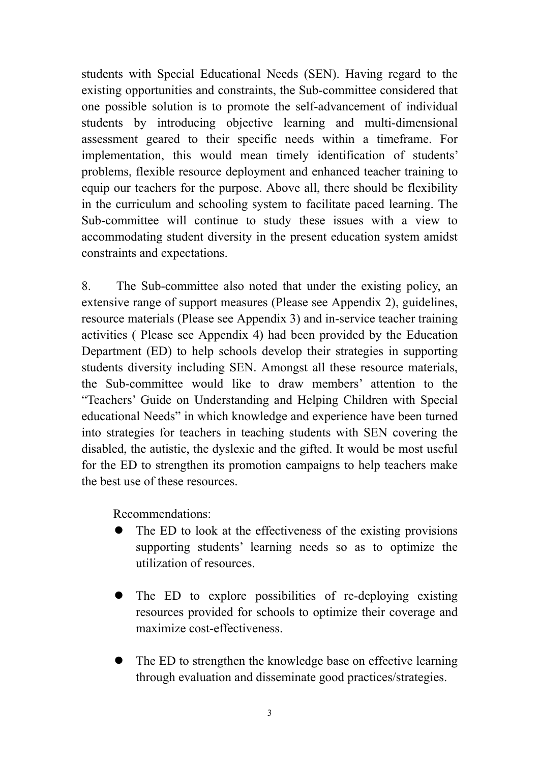students with Special Educational Needs (SEN). Having regard to the existing opportunities and constraints, the Sub-committee considered that one possible solution is to promote the self-advancement of individual students by introducing objective learning and multi-dimensional assessment geared to their specific needs within a timeframe. For implementation, this would mean timely identification of students' problems, flexible resource deployment and enhanced teacher training to equip our teachers for the purpose. Above all, there should be flexibility in the curriculum and schooling system to facilitate paced learning. The Sub-committee will continue to study these issues with a view to accommodating student diversity in the present education system amidst constraints and expectations.

8. The Sub-committee also noted that under the existing policy, an extensive range of support measures (Please see Appendix 2), guidelines, resource materials (Please see Appendix 3) and in-service teacher training activities ( Please see Appendix 4) had been provided by the Education Department (ED) to help schools develop their strategies in supporting students diversity including SEN. Amongst all these resource materials, the Sub-committee would like to draw members' attention to the "Teachers' Guide on Understanding and Helping Children with Special educational Needs" in which knowledge and experience have been turned into strategies for teachers in teaching students with SEN covering the disabled, the autistic, the dyslexic and the gifted. It would be most useful for the ED to strengthen its promotion campaigns to help teachers make the best use of these resources.

Recommendations:

- The ED to look at the effectiveness of the existing provisions supporting students' learning needs so as to optimize the utilization of resources.
- The ED to explore possibilities of re-deploying existing resources provided for schools to optimize their coverage and maximize cost-effectiveness.
- The ED to strengthen the knowledge base on effective learning through evaluation and disseminate good practices/strategies.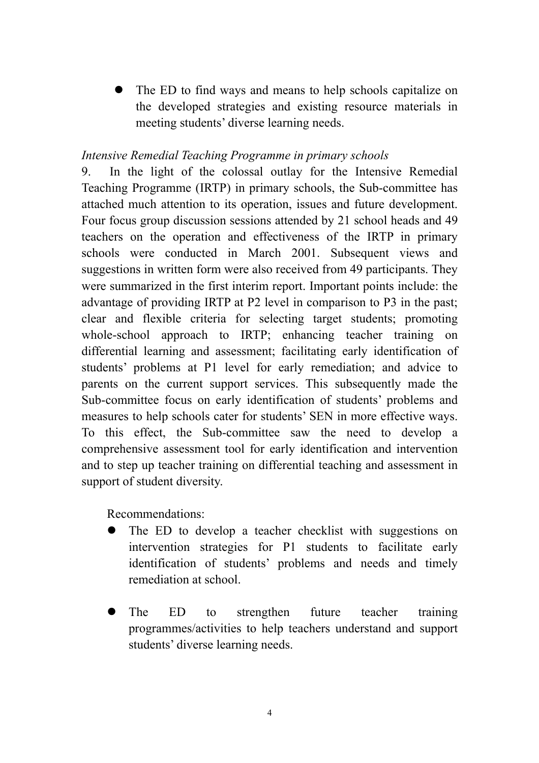The ED to find ways and means to help schools capitalize on the developed strategies and existing resource materials in meeting students' diverse learning needs.

#### *Intensive Remedial Teaching Programme in primary schools*

9. In the light of the colossal outlay for the Intensive Remedial Teaching Programme (IRTP) in primary schools, the Sub-committee has attached much attention to its operation, issues and future development. Four focus group discussion sessions attended by 21 school heads and 49 teachers on the operation and effectiveness of the IRTP in primary schools were conducted in March 2001. Subsequent views and suggestions in written form were also received from 49 participants. They were summarized in the first interim report. Important points include: the advantage of providing IRTP at P2 level in comparison to P3 in the past; clear and flexible criteria for selecting target students; promoting whole-school approach to IRTP; enhancing teacher training on differential learning and assessment; facilitating early identification of students' problems at P1 level for early remediation; and advice to parents on the current support services. This subsequently made the Sub-committee focus on early identification of students' problems and measures to help schools cater for students' SEN in more effective ways. To this effect, the Sub-committee saw the need to develop a comprehensive assessment tool for early identification and intervention and to step up teacher training on differential teaching and assessment in support of student diversity.

Recommendations:

- The ED to develop a teacher checklist with suggestions on intervention strategies for P1 students to facilitate early identification of students' problems and needs and timely remediation at school.
- The ED to strengthen future teacher training programmes/activities to help teachers understand and support students' diverse learning needs.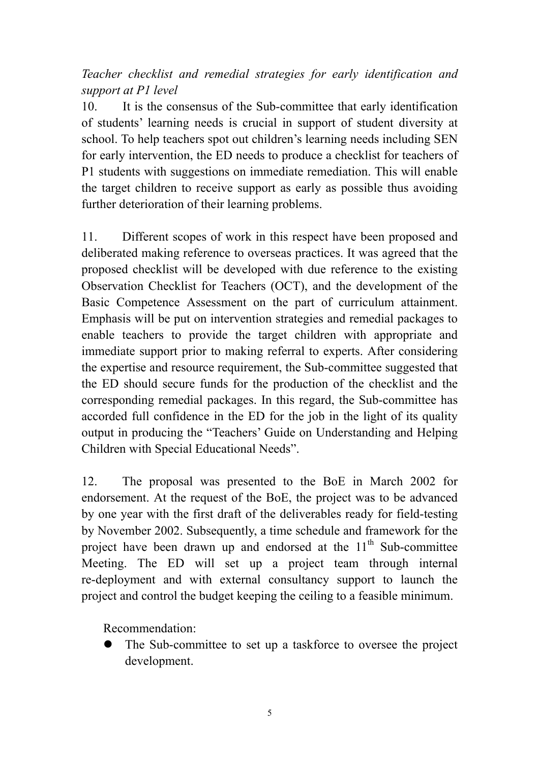# *Teacher checklist and remedial strategies for early identification and support at P1 level*

10. It is the consensus of the Sub-committee that early identification of students' learning needs is crucial in support of student diversity at school. To help teachers spot out children's learning needs including SEN for early intervention, the ED needs to produce a checklist for teachers of P1 students with suggestions on immediate remediation. This will enable the target children to receive support as early as possible thus avoiding further deterioration of their learning problems.

11. Different scopes of work in this respect have been proposed and deliberated making reference to overseas practices. It was agreed that the proposed checklist will be developed with due reference to the existing Observation Checklist for Teachers (OCT), and the development of the Basic Competence Assessment on the part of curriculum attainment. Emphasis will be put on intervention strategies and remedial packages to enable teachers to provide the target children with appropriate and immediate support prior to making referral to experts. After considering the expertise and resource requirement, the Sub-committee suggested that the ED should secure funds for the production of the checklist and the corresponding remedial packages. In this regard, the Sub-committee has accorded full confidence in the ED for the job in the light of its quality output in producing the "Teachers' Guide on Understanding and Helping Children with Special Educational Needs".

12. The proposal was presented to the BoE in March 2002 for endorsement. At the request of the BoE, the project was to be advanced by one year with the first draft of the deliverables ready for field-testing by November 2002. Subsequently, a time schedule and framework for the project have been drawn up and endorsed at the  $11<sup>th</sup>$  Sub-committee Meeting. The ED will set up a project team through internal re-deployment and with external consultancy support to launch the project and control the budget keeping the ceiling to a feasible minimum.

Recommendation:

The Sub-committee to set up a taskforce to oversee the project development.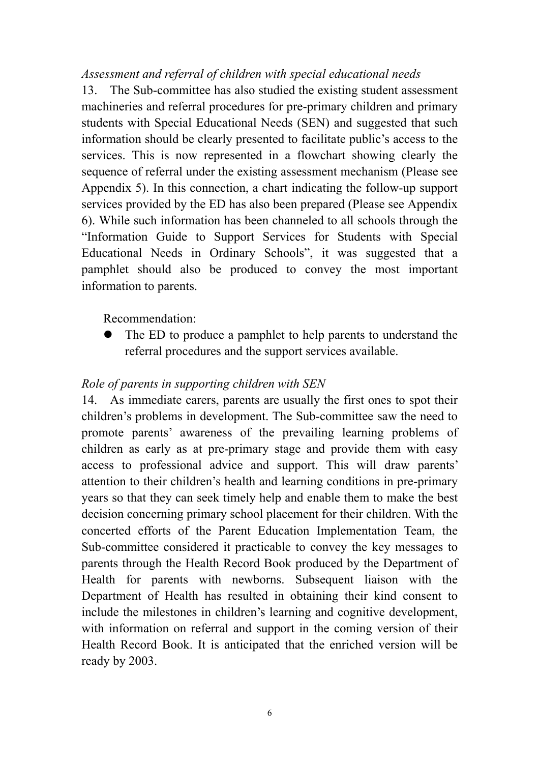*Assessment and referral of children with special educational needs* 

13. The Sub-committee has also studied the existing student assessment machineries and referral procedures for pre-primary children and primary students with Special Educational Needs (SEN) and suggested that such information should be clearly presented to facilitate public's access to the services. This is now represented in a flowchart showing clearly the sequence of referral under the existing assessment mechanism (Please see Appendix 5). In this connection, a chart indicating the follow-up support services provided by the ED has also been prepared (Please see Appendix 6). While such information has been channeled to all schools through the "Information Guide to Support Services for Students with Special Educational Needs in Ordinary Schools", it was suggested that a pamphlet should also be produced to convey the most important information to parents.

Recommendation:

The ED to produce a pamphlet to help parents to understand the referral procedures and the support services available.

#### *Role of parents in supporting children with SEN*

14. As immediate carers, parents are usually the first ones to spot their children's problems in development. The Sub-committee saw the need to promote parents' awareness of the prevailing learning problems of children as early as at pre-primary stage and provide them with easy access to professional advice and support. This will draw parents' attention to their children's health and learning conditions in pre-primary years so that they can seek timely help and enable them to make the best decision concerning primary school placement for their children. With the concerted efforts of the Parent Education Implementation Team, the Sub-committee considered it practicable to convey the key messages to parents through the Health Record Book produced by the Department of Health for parents with newborns. Subsequent liaison with the Department of Health has resulted in obtaining their kind consent to include the milestones in children's learning and cognitive development, with information on referral and support in the coming version of their Health Record Book. It is anticipated that the enriched version will be ready by 2003.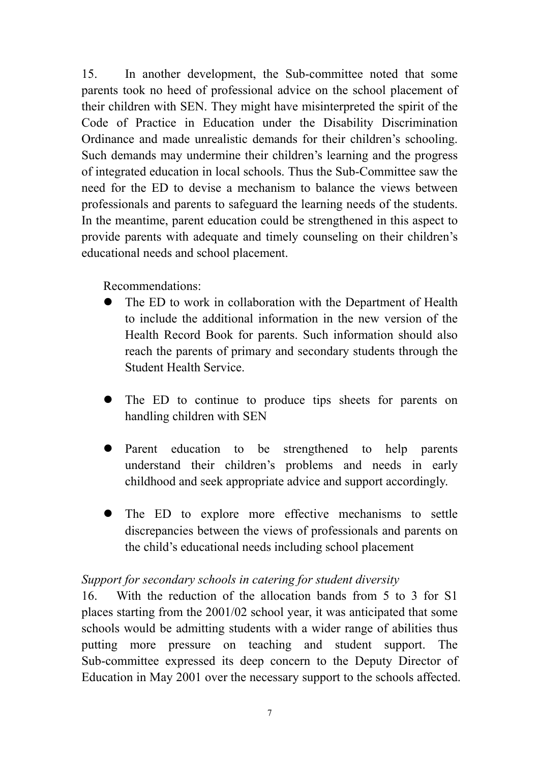15. In another development, the Sub-committee noted that some parents took no heed of professional advice on the school placement of their children with SEN. They might have misinterpreted the spirit of the Code of Practice in Education under the Disability Discrimination Ordinance and made unrealistic demands for their children's schooling. Such demands may undermine their children's learning and the progress of integrated education in local schools. Thus the Sub-Committee saw the need for the ED to devise a mechanism to balance the views between professionals and parents to safeguard the learning needs of the students. In the meantime, parent education could be strengthened in this aspect to provide parents with adequate and timely counseling on their children's educational needs and school placement.

Recommendations:

- The ED to work in collaboration with the Department of Health to include the additional information in the new version of the Health Record Book for parents. Such information should also reach the parents of primary and secondary students through the Student Health Service.
- The ED to continue to produce tips sheets for parents on handling children with SEN
- Parent education to be strengthened to help parents understand their children's problems and needs in early childhood and seek appropriate advice and support accordingly.
- The ED to explore more effective mechanisms to settle discrepancies between the views of professionals and parents on the child's educational needs including school placement

#### *Support for secondary schools in catering for student diversity*

16. With the reduction of the allocation bands from 5 to 3 for S1 places starting from the 2001/02 school year, it was anticipated that some schools would be admitting students with a wider range of abilities thus putting more pressure on teaching and student support. The Sub-committee expressed its deep concern to the Deputy Director of Education in May 2001 over the necessary support to the schools affected.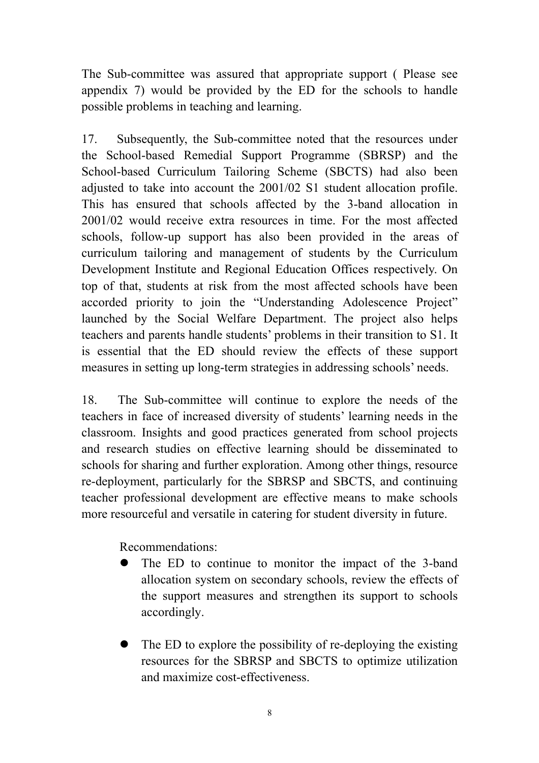The Sub-committee was assured that appropriate support ( Please see appendix 7) would be provided by the ED for the schools to handle possible problems in teaching and learning.

17. Subsequently, the Sub-committee noted that the resources under the School-based Remedial Support Programme (SBRSP) and the School-based Curriculum Tailoring Scheme (SBCTS) had also been adjusted to take into account the 2001/02 S1 student allocation profile. This has ensured that schools affected by the 3-band allocation in 2001/02 would receive extra resources in time. For the most affected schools, follow-up support has also been provided in the areas of curriculum tailoring and management of students by the Curriculum Development Institute and Regional Education Offices respectively. On top of that, students at risk from the most affected schools have been accorded priority to join the "Understanding Adolescence Project" launched by the Social Welfare Department. The project also helps teachers and parents handle students' problems in their transition to S1. It is essential that the ED should review the effects of these support measures in setting up long-term strategies in addressing schools' needs.

18. The Sub-committee will continue to explore the needs of the teachers in face of increased diversity of students' learning needs in the classroom. Insights and good practices generated from school projects and research studies on effective learning should be disseminated to schools for sharing and further exploration. Among other things, resource re-deployment, particularly for the SBRSP and SBCTS, and continuing teacher professional development are effective means to make schools more resourceful and versatile in catering for student diversity in future.

Recommendations:

- The ED to continue to monitor the impact of the 3-band allocation system on secondary schools, review the effects of the support measures and strengthen its support to schools accordingly.
- The ED to explore the possibility of re-deploying the existing resources for the SBRSP and SBCTS to optimize utilization and maximize cost-effectiveness.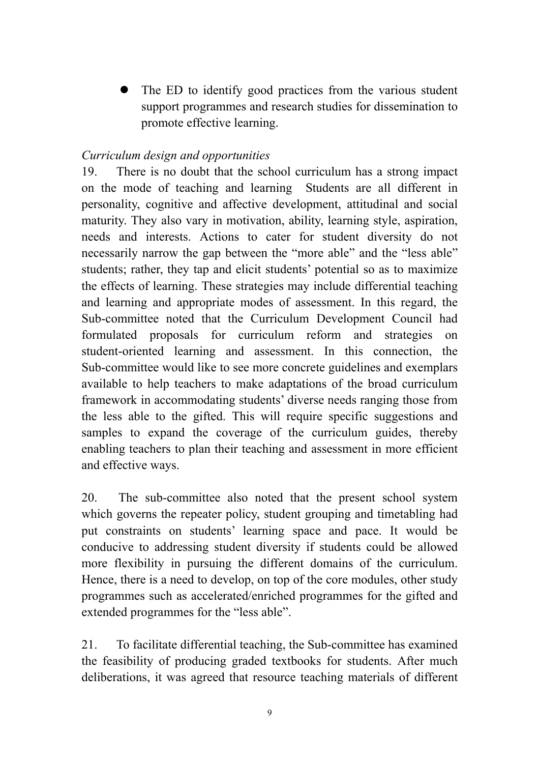The ED to identify good practices from the various student support programmes and research studies for dissemination to promote effective learning.

#### *Curriculum design and opportunities*

19. There is no doubt that the school curriculum has a strong impact on the mode of teaching and learning Students are all different in personality, cognitive and affective development, attitudinal and social maturity. They also vary in motivation, ability, learning style, aspiration, needs and interests. Actions to cater for student diversity do not necessarily narrow the gap between the "more able" and the "less able" students; rather, they tap and elicit students' potential so as to maximize the effects of learning. These strategies may include differential teaching and learning and appropriate modes of assessment. In this regard, the Sub-committee noted that the Curriculum Development Council had formulated proposals for curriculum reform and strategies on student-oriented learning and assessment. In this connection, the Sub-committee would like to see more concrete guidelines and exemplars available to help teachers to make adaptations of the broad curriculum framework in accommodating students' diverse needs ranging those from the less able to the gifted. This will require specific suggestions and samples to expand the coverage of the curriculum guides, thereby enabling teachers to plan their teaching and assessment in more efficient and effective ways.

20. The sub-committee also noted that the present school system which governs the repeater policy, student grouping and timetabling had put constraints on students' learning space and pace. It would be conducive to addressing student diversity if students could be allowed more flexibility in pursuing the different domains of the curriculum. Hence, there is a need to develop, on top of the core modules, other study programmes such as accelerated/enriched programmes for the gifted and extended programmes for the "less able".

21. To facilitate differential teaching, the Sub-committee has examined the feasibility of producing graded textbooks for students. After much deliberations, it was agreed that resource teaching materials of different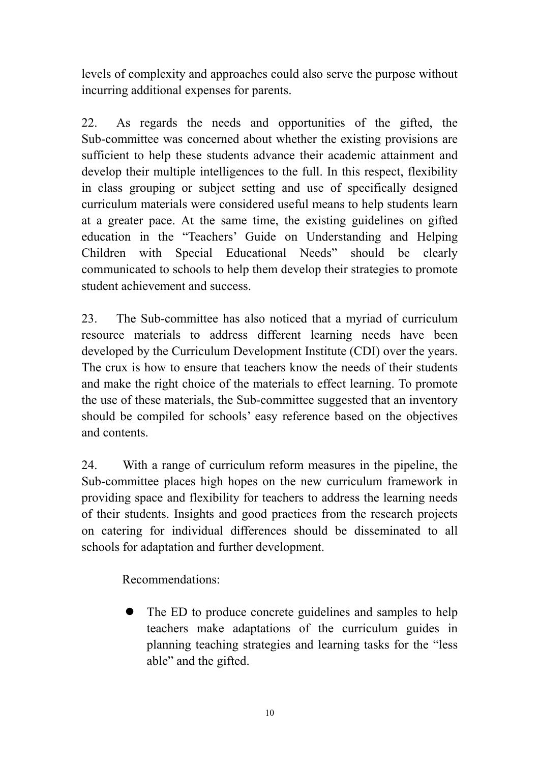levels of complexity and approaches could also serve the purpose without incurring additional expenses for parents.

22. As regards the needs and opportunities of the gifted, the Sub-committee was concerned about whether the existing provisions are sufficient to help these students advance their academic attainment and develop their multiple intelligences to the full. In this respect, flexibility in class grouping or subject setting and use of specifically designed curriculum materials were considered useful means to help students learn at a greater pace. At the same time, the existing guidelines on gifted education in the "Teachers' Guide on Understanding and Helping Children with Special Educational Needs" should be clearly communicated to schools to help them develop their strategies to promote student achievement and success.

23. The Sub-committee has also noticed that a myriad of curriculum resource materials to address different learning needs have been developed by the Curriculum Development Institute (CDI) over the years. The crux is how to ensure that teachers know the needs of their students and make the right choice of the materials to effect learning. To promote the use of these materials, the Sub-committee suggested that an inventory should be compiled for schools' easy reference based on the objectives and contents.

24. With a range of curriculum reform measures in the pipeline, the Sub-committee places high hopes on the new curriculum framework in providing space and flexibility for teachers to address the learning needs of their students. Insights and good practices from the research projects on catering for individual differences should be disseminated to all schools for adaptation and further development.

Recommendations:

The ED to produce concrete guidelines and samples to help teachers make adaptations of the curriculum guides in planning teaching strategies and learning tasks for the "less able" and the gifted.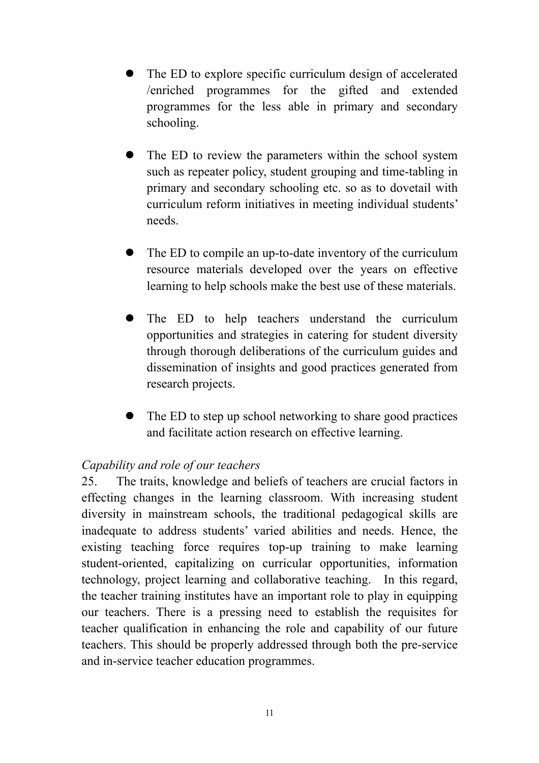- The ED to explore specific curriculum design of accelerated /enriched programmes for the gifted and extended programmes for the less able in primary and secondary schooling.
- The ED to review the parameters within the school system such as repeater policy, student grouping and time-tabling in primary and secondary schooling etc. so as to dovetail with curriculum reform initiatives in meeting individual students' needs.
- The ED to compile an up-to-date inventory of the curriculum resource materials developed over the years on effective learning to help schools make the best use of these materials.
- The ED to help teachers understand the curriculum opportunities and strategies in catering for student diversity through thorough deliberations of the curriculum guides and dissemination of insights and good practices generated from research projects.
- The ED to step up school networking to share good practices and facilitate action research on effective learning.

#### *Capability and role of our teachers*

25. The traits, knowledge and beliefs of teachers are crucial factors in effecting changes in the learning classroom. With increasing student diversity in mainstream schools, the traditional pedagogical skills are inadequate to address students' varied abilities and needs. Hence, the existing teaching force requires top-up training to make learning student-oriented, capitalizing on curricular opportunities, information technology, project learning and collaborative teaching. In this regard, the teacher training institutes have an important role to play in equipping our teachers. There is a pressing need to establish the requisites for teacher qualification in enhancing the role and capability of our future teachers. This should be properly addressed through both the pre-service and in-service teacher education programmes.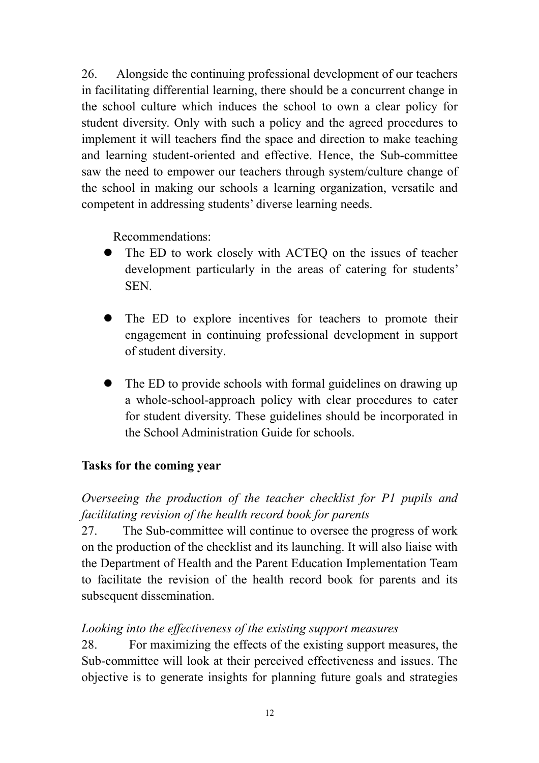26. Alongside the continuing professional development of our teachers in facilitating differential learning, there should be a concurrent change in the school culture which induces the school to own a clear policy for student diversity. Only with such a policy and the agreed procedures to implement it will teachers find the space and direction to make teaching and learning student-oriented and effective. Hence, the Sub-committee saw the need to empower our teachers through system/culture change of the school in making our schools a learning organization, versatile and competent in addressing students' diverse learning needs.

Recommendations:

- The ED to work closely with ACTEQ on the issues of teacher development particularly in the areas of catering for students' SEN.
- The ED to explore incentives for teachers to promote their engagement in continuing professional development in support of student diversity.
- The ED to provide schools with formal guidelines on drawing up a whole-school-approach policy with clear procedures to cater for student diversity. These guidelines should be incorporated in the School Administration Guide for schools.

#### **Tasks for the coming year**

*Overseeing the production of the teacher checklist for P1 pupils and facilitating revision of the health record book for parents* 

27. The Sub-committee will continue to oversee the progress of work on the production of the checklist and its launching. It will also liaise with the Department of Health and the Parent Education Implementation Team to facilitate the revision of the health record book for parents and its subsequent dissemination.

#### *Looking into the effectiveness of the existing support measures*

28.For maximizing the effects of the existing support measures, the Sub-committee will look at their perceived effectiveness and issues. The objective is to generate insights for planning future goals and strategies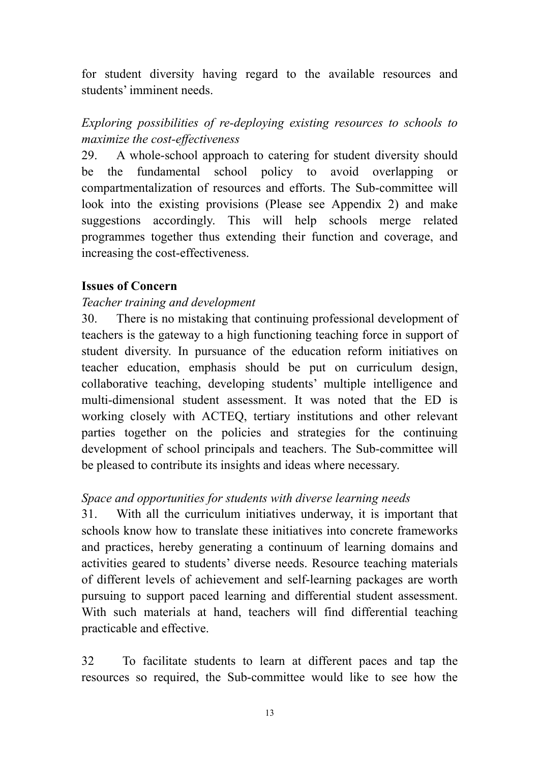for student diversity having regard to the available resources and students' imminent needs.

## *Exploring possibilities of re-deploying existing resources to schools to maximize the cost-effectiveness*

29. A whole-school approach to catering for student diversity should be the fundamental school policy to avoid overlapping or compartmentalization of resources and efforts. The Sub-committee will look into the existing provisions (Please see Appendix 2) and make suggestions accordingly. This will help schools merge related programmes together thus extending their function and coverage, and increasing the cost-effectiveness.

#### **Issues of Concern**

#### *Teacher training and development*

30. There is no mistaking that continuing professional development of teachers is the gateway to a high functioning teaching force in support of student diversity. In pursuance of the education reform initiatives on teacher education, emphasis should be put on curriculum design, collaborative teaching, developing students' multiple intelligence and multi-dimensional student assessment. It was noted that the ED is working closely with ACTEQ, tertiary institutions and other relevant parties together on the policies and strategies for the continuing development of school principals and teachers. The Sub-committee will be pleased to contribute its insights and ideas where necessary.

#### *Space and opportunities for students with diverse learning needs*

31. With all the curriculum initiatives underway, it is important that schools know how to translate these initiatives into concrete frameworks and practices, hereby generating a continuum of learning domains and activities geared to students' diverse needs. Resource teaching materials of different levels of achievement and self-learning packages are worth pursuing to support paced learning and differential student assessment. With such materials at hand, teachers will find differential teaching practicable and effective.

32 To facilitate students to learn at different paces and tap the resources so required, the Sub-committee would like to see how the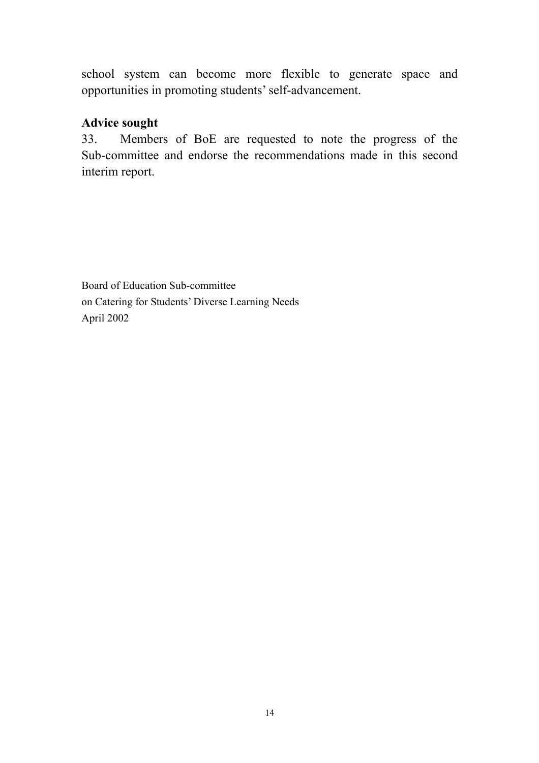school system can become more flexible to generate space and opportunities in promoting students' self-advancement.

#### **Advice sought**

33. Members of BoE are requested to note the progress of the Sub-committee and endorse the recommendations made in this second interim report.

Board of Education Sub-committee on Catering for Students' Diverse Learning Needs April 2002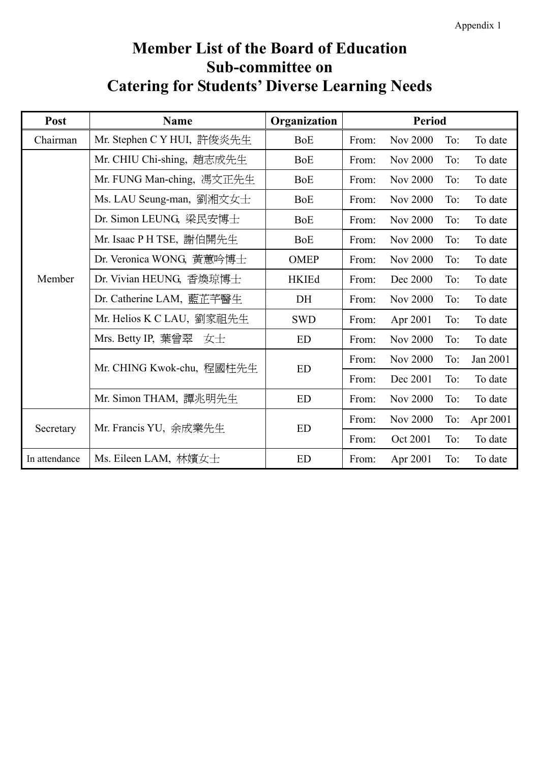# **Member List of the Board of Education Sub-committee on Catering for Students' Diverse Learning Needs**

| Post          | <b>Name</b>                | Organization | <b>Period</b> |                 |     |          |
|---------------|----------------------------|--------------|---------------|-----------------|-----|----------|
| Chairman      | Mr. Stephen C Y HUI, 許俊炎先生 | <b>BoE</b>   | From:         | <b>Nov 2000</b> | To: | To date  |
|               | Mr. CHIU Chi-shing, 趙志成先生  | <b>BoE</b>   | From:         | <b>Nov 2000</b> | To: | To date  |
|               | Mr. FUNG Man-ching, 馮文正先生  | <b>BoE</b>   | From:         | <b>Nov 2000</b> | To: | To date  |
|               | Ms. LAU Seung-man, 劉湘文女士   | <b>BoE</b>   | From:         | <b>Nov 2000</b> | To: | To date  |
|               | Dr. Simon LEUNG, 梁民安博士     | <b>BoE</b>   | From:         | <b>Nov 2000</b> | To: | To date  |
|               | Mr. Isaac P H TSE, 謝伯開先生   | <b>BoE</b>   | From:         | <b>Nov 2000</b> | To: | To date  |
|               | Dr. Veronica WONG, 黃蕙吟博士   | <b>OMEP</b>  | From:         | <b>Nov 2000</b> | To: | To date  |
| Member        | Dr. Vivian HEUNG, 香煥琼博士    | <b>HKIEd</b> | From:         | Dec 2000        | To: | To date  |
|               | Dr. Catherine LAM, 藍芷芊醫生   | DH           | From:         | <b>Nov 2000</b> | To: | To date  |
|               | Mr. Helios K C LAU,劉家祖先生   | <b>SWD</b>   | From:         | Apr 2001        | To: | To date  |
|               | Mrs. Betty IP, 葉曾翠<br>女士   | <b>ED</b>    | From:         | <b>Nov 2000</b> | To: | To date  |
|               | Mr. CHING Kwok-chu, 程國柱先生  | <b>ED</b>    | From:         | <b>Nov 2000</b> | To: | Jan 2001 |
|               |                            |              | From:         | Dec 2001        | To: | To date  |
|               | Mr. Simon THAM, 譚兆明先生      | <b>ED</b>    | From:         | <b>Nov 2000</b> | To: | To date  |
| Secretary     | Mr. Francis YU, 余成業先生      | <b>ED</b>    | From:         | <b>Nov 2000</b> | To: | Apr 2001 |
|               |                            |              | From:         | Oct 2001        | To: | To date  |
| In attendance | Ms. Eileen LAM, 林嬪女士       | <b>ED</b>    | From:         | Apr 2001        | To: | To date  |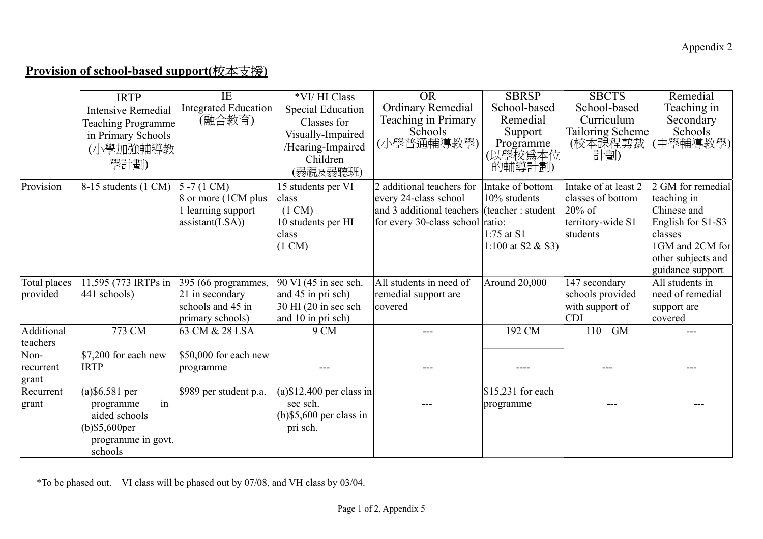# **Provision of school-based support(**校本支援**)**

|              | <b>IRTP</b>                      | IE                          | *VI/HI Class                | OR                                           | <b>SBRSP</b>        | <b>SBCTS</b>            | Remedial           |
|--------------|----------------------------------|-----------------------------|-----------------------------|----------------------------------------------|---------------------|-------------------------|--------------------|
|              | <b>Intensive Remedial</b>        | <b>Integrated Education</b> | <b>Special Education</b>    | <b>Ordinary Remedial</b>                     | School-based        | School-based            | Teaching in        |
|              | <b>Teaching Programme</b>        | (融合教育)                      | Classes for                 | Teaching in Primary                          | Remedial            | Curriculum              | Secondary          |
|              | in Primary Schools               |                             | Visually-Impaired           | Schools                                      | Support             | <b>Tailoring Scheme</b> | Schools            |
|              | (小學加強輔導教                         |                             | /Hearing-Impaired           | (小學普通輔導教學)                                   | Programme           | (校本課程剪裁                 | (中學輔導教學)           |
|              |                                  |                             | Children                    |                                              | (以學校爲本位             | 計劃)                     |                    |
|              | 學計劃)                             |                             | (弱視及弱聽班)                    |                                              | 的輔導計劃)              |                         |                    |
| Provision    | $8-15$ students $(1 \text{ CM})$ | $5 - 7(1 CM)$               | 15 students per VI          | 2 additional teachers for                    | Intake of bottom    | Intake of at least 2    | 2 GM for remedial  |
|              |                                  | 8 or more (1CM plus         | class                       | every 24-class school                        | 10% students        | classes of bottom       | teaching in        |
|              |                                  | l learning support          | $(1 \text{ CM})$            | and 3 additional teachers (teacher : student |                     | $20\%$ of               | Chinese and        |
|              |                                  | assignment(LSA))            | 10 students per HI          | for every 30-class school ratio:             |                     | territory-wide S1       | English for S1-S3  |
|              |                                  |                             | class                       |                                              | $1:75$ at S1        | students                | classes            |
|              |                                  |                             | $(1 \text{ CM})$            |                                              | 1:100 at S2 $&$ S3) |                         | 1GM and 2CM for    |
|              |                                  |                             |                             |                                              |                     |                         | other subjects and |
|              |                                  |                             |                             |                                              |                     |                         | guidance support   |
| Total places | 11,595 (773 IRTPs in             | 395 (66 programmes,         | 90 VI (45 in sec sch.       | All students in need of                      | Around 20,000       | 147 secondary           | All students in    |
| provided     | 441 schools)                     | 21 in secondary             | and 45 in pri sch)          | remedial support are                         |                     | schools provided        | need of remedial   |
|              |                                  | schools and 45 in           | 30 HI (20 in sec sch        | covered                                      |                     | with support of         | support are        |
|              |                                  | primary schools)            | and 10 in pri sch)          |                                              |                     | <b>CDI</b>              | covered            |
| Additional   | 773 CM                           | 63 CM & 28 LSA              | 9 CM                        |                                              | 192 CM              | 110<br><b>GM</b>        |                    |
| teachers     |                                  |                             |                             |                                              |                     |                         |                    |
| Non-         | \$7,200 for each new             | $$50,000$ for each new      |                             |                                              |                     |                         |                    |
| recurrent    | <b>IRTP</b>                      | programme                   |                             |                                              |                     |                         |                    |
| grant        |                                  |                             |                             |                                              |                     |                         |                    |
| Recurrent    | $(a)$ \$6,581 per                | \$989 per student p.a.      | $(a)$ \$12,400 per class in |                                              | \$15,231 for each   |                         |                    |
| grant        | in<br>programme                  |                             | sec sch.                    |                                              | programme           |                         |                    |
|              | aided schools                    |                             | $(b)$ \$5,600 per class in  |                                              |                     |                         |                    |
|              | $(b)$ \$5,600 $per$              |                             | pri sch.                    |                                              |                     |                         |                    |
|              | programme in govt.               |                             |                             |                                              |                     |                         |                    |
|              | schools                          |                             |                             |                                              |                     |                         |                    |

\*To be phased out. VI class will be phased out by 07/08, and VH class by 03/04.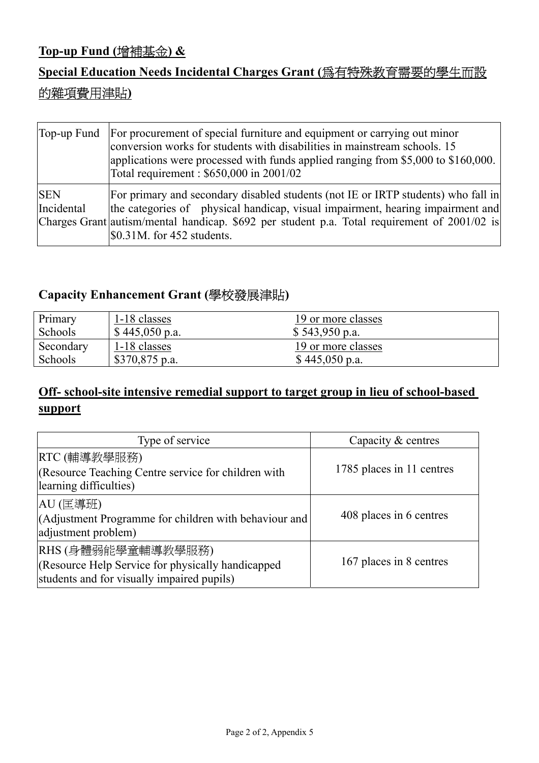## **Top-up Fund (**增補基金**) &**

# **Special Education Needs Incidental Charges Grant (**為有特殊教育需要的學生而設 的雜項費用津貼**)**

|                          | Top-up Fund For procurement of special furniture and equipment or carrying out minor<br>conversion works for students with disabilities in mainstream schools. 15<br>applications were processed with funds applied ranging from \$5,000 to \$160,000.<br>Total requirement: \$650,000 in 2001/02           |
|--------------------------|-------------------------------------------------------------------------------------------------------------------------------------------------------------------------------------------------------------------------------------------------------------------------------------------------------------|
| <b>SEN</b><br>Incidental | For primary and secondary disabled students (not IE or IRTP students) who fall in<br>the categories of physical handicap, visual impairment, hearing impairment and<br>Charges Grant autism/mental handicap. \$692 per student p.a. Total requirement of 2001/02 is<br>$\text{$}50.31M$ . for 452 students. |

### **Capacity Enhancement Grant (**學校發展津貼**)**

| Primary   | 1-18 classes    | 19 or more classes |
|-----------|-----------------|--------------------|
| Schools   | \$445,050 p.a.  | \$543,950 p.a.     |
| Secondary | 1-18 classes    | 19 or more classes |
| Schools   | $$370,875$ p.a. | \$445,050 p.a.     |

# **Off- school-site intensive remedial support to target group in lieu of school-based support**

| Type of service                                                                                                       | Capacity & centres        |
|-----------------------------------------------------------------------------------------------------------------------|---------------------------|
| RTC (輔導教學服務)<br>(Resource Teaching Centre service for children with<br>learning difficulties)                         | 1785 places in 11 centres |
| AU (匡導班) <br>(Adjustment Programme for children with behaviour and<br>adjustment problem)                             | 408 places in 6 centres   |
| RHS (身體弱能學童輔導教學服務)<br>(Resource Help Service for physically handicapped<br>students and for visually impaired pupils) | 167 places in 8 centres   |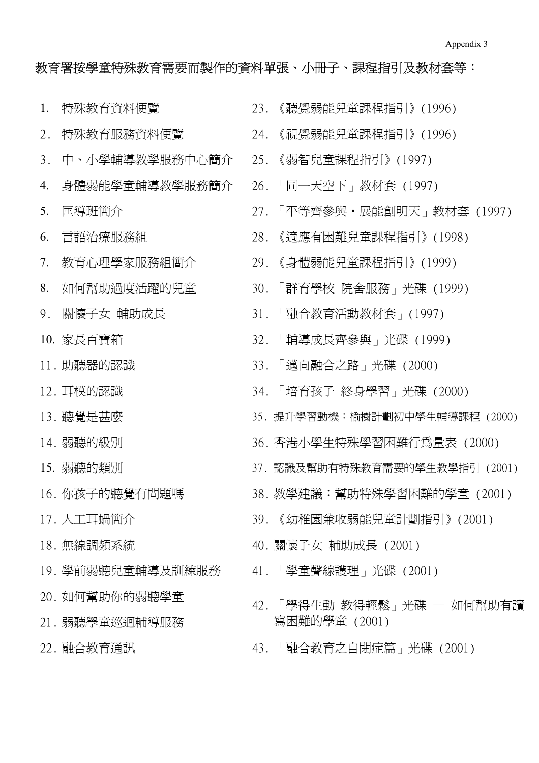#### 教育署按學童特殊教育需要而製作的資料單張、小冊子、課程指引及教材套等:

- 1. 特殊教育資料便覽 23. 《聽覺弱能兒童課程指引》(1996) 2. 特殊教育服務資料便覽 24. 《視覺弱能兒童課程指引》(1996) 3. 中、小學輔導教學服務中心簡介 25. 《弱智兒童課程指引》(1997) 4. 身體弱能學童輔導教學服務簡介 26. 「同一天空下」教材套 (1997) 9. 關懷子女 輔助成長 31. 「融合教育活動教材套」(1997) 10. 家長百寶箱 32. 「輔導成長齊參與」光碟 (1999) 11. 助聽器的認識 33. 「邁向融合之路」光碟 (2000) 18. 無線調頻系統 40. 關懷子女 輔助成長 (2001) 19. 學前弱聽兒童輔導及訓練服務 41. 「學童聲線護理」光碟 (2001) 20. 如何幫助你的弱聽學童 21. 弱聽學童巡迴輔導服務
- 
- 
- 
- 
- 
- 5. 匡導班簡介 27. 「平等齊參與•展能創明天」教材套 (1997)
- 6. 言語治療服務組 28. 《適應有困難兒童課程指引》(1998)
- 7. 教育心理學家服務組簡介 29. 《身體弱能兒童課程指引》(1999)
- 8. 如何幫助過度活躍的兒童 30. 「群育學校 院舍服務」光碟 (1999)
	-
	-
	-
- 12. 耳模的認識 34. 「培育孩子 終身學習」光碟 (2000)
- 13. 聽覺是甚麼 35. 提升學習動機:榆樹計劃初中學生輔導課程 (2000)
- 14. 弱聽的級別 36. 香港小學生特殊學習困難行為量表 (2000)
- 15. 弱聽的類別 37. 認識及幫助有特殊教育需要的學生教學指引 (2001)
- 16. 你孩子的聽覺有問題嗎 38. 教學建議:幫助特殊學習困難的學童 (2001)
- 17. 人工耳蝸簡介 39. 《幼稚園兼收弱能兒童計劃指引》(2001)
	-
	-
	- 42. 「學得生動 教得輕鬆」光碟 如何幫助有讀 寫困難的學童 (2001)
- 22. 融合教育通訊 43. 「融合教育之自閉症篇」光碟 (2001)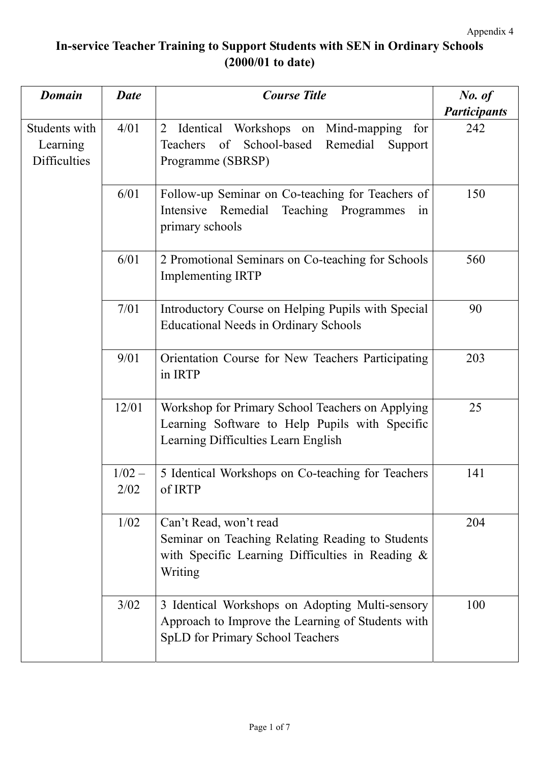# **In-service Teacher Training to Support Students with SEN in Ordinary Schools (2000/01 to date)**

| <b>Domain</b>                                    | <b>Date</b>                                                                                                                                                                                         | <b>Course Title</b>                                                                                                                             | No. of              |
|--------------------------------------------------|-----------------------------------------------------------------------------------------------------------------------------------------------------------------------------------------------------|-------------------------------------------------------------------------------------------------------------------------------------------------|---------------------|
|                                                  |                                                                                                                                                                                                     |                                                                                                                                                 | <b>Participants</b> |
| Students with<br>Learning<br><b>Difficulties</b> | 4/01<br>Identical Workshops on<br>Mind-mapping<br>$\overline{2}$<br>for<br>School-based<br>of<br>Remedial<br>Teachers<br>Support<br>Programme (SBRSP)                                               |                                                                                                                                                 | 242                 |
|                                                  | 6/01                                                                                                                                                                                                | Follow-up Seminar on Co-teaching for Teachers of<br>Remedial Teaching Programmes<br>Intensive<br>in<br>primary schools                          | 150                 |
|                                                  | 6/01<br>2 Promotional Seminars on Co-teaching for Schools<br><b>Implementing IRTP</b><br>7/01<br>Introductory Course on Helping Pupils with Special<br><b>Educational Needs in Ordinary Schools</b> |                                                                                                                                                 | 560                 |
|                                                  |                                                                                                                                                                                                     |                                                                                                                                                 | 90                  |
|                                                  | 9/01                                                                                                                                                                                                | Orientation Course for New Teachers Participating<br>in IRTP                                                                                    | 203                 |
|                                                  | 12/01<br>Workshop for Primary School Teachers on Applying<br>Learning Software to Help Pupils with Specific<br>Learning Difficulties Learn English                                                  |                                                                                                                                                 | 25                  |
|                                                  | $1/02 -$<br>2/02                                                                                                                                                                                    | 5 Identical Workshops on Co-teaching for Teachers<br>of IRTP                                                                                    | 141                 |
|                                                  | 1/02                                                                                                                                                                                                | Can't Read, won't read<br>Seminar on Teaching Relating Reading to Students<br>with Specific Learning Difficulties in Reading &<br>Writing       | 204                 |
|                                                  | 3/02                                                                                                                                                                                                | 3 Identical Workshops on Adopting Multi-sensory<br>Approach to Improve the Learning of Students with<br><b>SpLD</b> for Primary School Teachers | 100                 |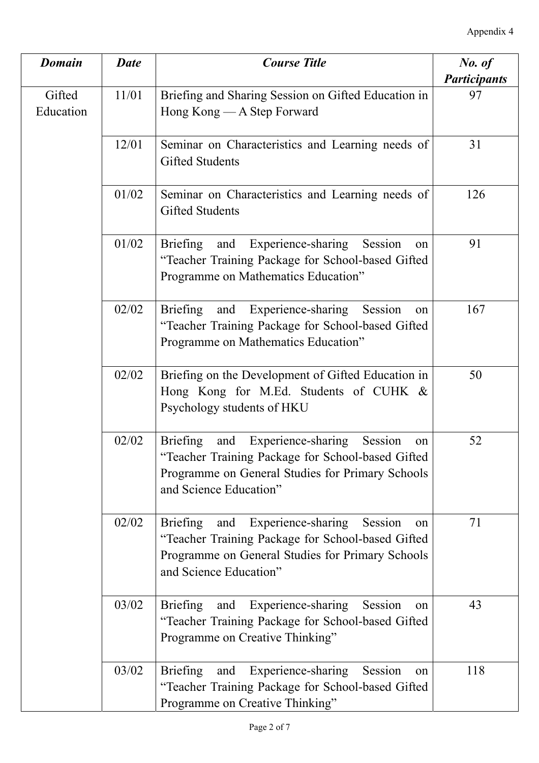| <b>Domain</b>       | <b>Date</b> | <b>Course Title</b>                                                                                                                                                                       | No. of              |
|---------------------|-------------|-------------------------------------------------------------------------------------------------------------------------------------------------------------------------------------------|---------------------|
|                     |             |                                                                                                                                                                                           | <b>Participants</b> |
| Gifted<br>Education | 11/01       | Briefing and Sharing Session on Gifted Education in<br>Hong Kong — A Step Forward                                                                                                         | 97                  |
|                     | 12/01       | Seminar on Characteristics and Learning needs of<br>Gifted Students                                                                                                                       | 31                  |
|                     | 01/02       | Seminar on Characteristics and Learning needs of<br>Gifted Students                                                                                                                       | 126                 |
|                     | 01/02       | and Experience-sharing<br><b>Briefing</b><br>Session<br>on<br>"Teacher Training Package for School-based Gifted<br>Programme on Mathematics Education"                                    | 91                  |
|                     | 02/02       | Experience-sharing<br><b>Briefing</b><br>and<br>Session<br>on<br>"Teacher Training Package for School-based Gifted<br>Programme on Mathematics Education"                                 | 167                 |
|                     | 02/02       | Briefing on the Development of Gifted Education in<br>Hong Kong for M.Ed. Students of CUHK &<br>Psychology students of HKU                                                                | 50                  |
|                     | 02/02       | Experience-sharing<br>Briefing<br>and<br>Session<br>on<br>"Teacher Training Package for School-based Gifted<br>Programme on General Studies for Primary Schools<br>and Science Education" | 52                  |
|                     | 02/02       | Experience-sharing<br>Briefing<br>Session<br>and<br>on<br>"Teacher Training Package for School-based Gifted<br>Programme on General Studies for Primary Schools<br>and Science Education" | 71                  |
|                     | 03/02       | Experience-sharing<br><b>Briefing</b><br>Session<br>and<br>on<br>"Teacher Training Package for School-based Gifted<br>Programme on Creative Thinking"                                     | 43                  |
|                     | 03/02       | and Experience-sharing<br><b>Briefing</b><br>Session<br>on<br>"Teacher Training Package for School-based Gifted<br>Programme on Creative Thinking"                                        | 118                 |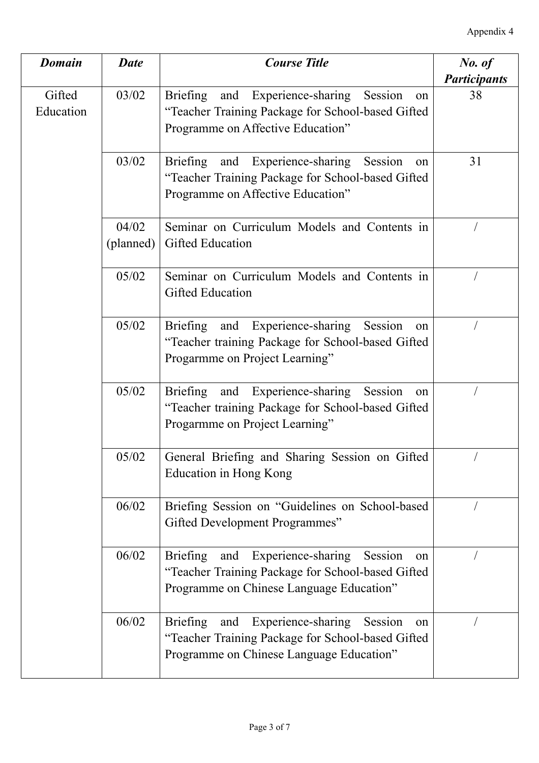| <b>Domain</b>       | <b>Date</b>        | <b>Course Title</b>                                                                                                                                  | No. of              |
|---------------------|--------------------|------------------------------------------------------------------------------------------------------------------------------------------------------|---------------------|
|                     |                    |                                                                                                                                                      | <b>Participants</b> |
| Gifted<br>Education | 03/02              | Briefing and Experience-sharing<br>Session<br>on<br>"Teacher Training Package for School-based Gifted<br>Programme on Affective Education"           | 38                  |
|                     | 03/02              | Briefing and Experience-sharing<br>Session<br>on<br>"Teacher Training Package for School-based Gifted<br>Programme on Affective Education"           | 31                  |
|                     | 04/02<br>(planned) | Seminar on Curriculum Models and Contents in<br>Gifted Education                                                                                     |                     |
|                     | 05/02              | Seminar on Curriculum Models and Contents in<br><b>Gifted Education</b>                                                                              |                     |
|                     | 05/02              | and Experience-sharing<br>Session<br>Briefing<br>on<br>"Teacher training Package for School-based Gifted<br>Progarmme on Project Learning"           |                     |
|                     | 05/02              | and Experience-sharing<br>Session<br>Briefing<br>on<br>"Teacher training Package for School-based Gifted<br>Progarmme on Project Learning"           |                     |
|                     | 05/02              | General Briefing and Sharing Session on Gifted<br>Education in Hong Kong                                                                             |                     |
|                     | 06/02              | Briefing Session on "Guidelines on School-based<br>Gifted Development Programmes"                                                                    |                     |
|                     | 06/02              | and Experience-sharing<br>Briefing<br>Session<br>on<br>"Teacher Training Package for School-based Gifted<br>Programme on Chinese Language Education" |                     |
|                     | 06/02              | and Experience-sharing<br>Briefing<br>Session<br>on<br>"Teacher Training Package for School-based Gifted<br>Programme on Chinese Language Education" |                     |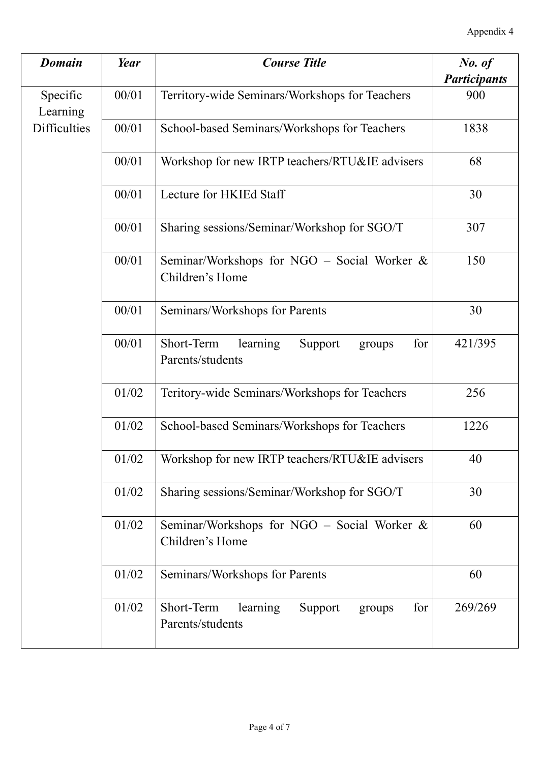| <b>Domain</b>        | Year  | <b>Course Title</b>                                                    | No. of              |
|----------------------|-------|------------------------------------------------------------------------|---------------------|
|                      |       |                                                                        | <b>Participants</b> |
| Specific<br>Learning | 00/01 | Territory-wide Seminars/Workshops for Teachers                         | 900                 |
| <b>Difficulties</b>  | 00/01 | School-based Seminars/Workshops for Teachers                           | 1838                |
|                      | 00/01 | Workshop for new IRTP teachers/RTU&IE advisers                         | 68                  |
|                      | 00/01 | Lecture for HKIEd Staff                                                | 30                  |
|                      | 00/01 | Sharing sessions/Seminar/Workshop for SGO/T                            | 307                 |
|                      | 00/01 | Seminar/Workshops for NGO – Social Worker $\&$<br>Children's Home      | 150                 |
|                      | 00/01 | Seminars/Workshops for Parents                                         | 30                  |
|                      | 00/01 | Short-Term<br>learning<br>Support<br>for<br>groups<br>Parents/students | 421/395             |
|                      | 01/02 | Teritory-wide Seminars/Workshops for Teachers                          | 256                 |
|                      | 01/02 | School-based Seminars/Workshops for Teachers                           | 1226                |
|                      | 01/02 | Workshop for new IRTP teachers/RTU&IE advisers                         | 40                  |
|                      | 01/02 | Sharing sessions/Seminar/Workshop for SGO/T                            | 30                  |
|                      | 01/02 | Seminar/Workshops for NGO – Social Worker $\&$<br>Children's Home      | 60                  |
|                      | 01/02 | Seminars/Workshops for Parents                                         | 60                  |
|                      | 01/02 | Short-Term<br>learning<br>Support<br>for<br>groups<br>Parents/students | 269/269             |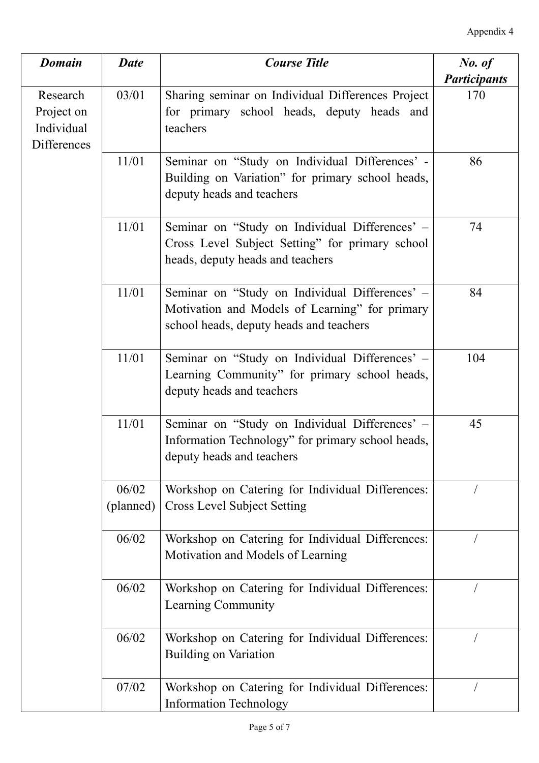| <b>Domain</b>                                              | <b>Date</b>        | <b>Course Title</b>                                                                                                                         | No. of              |
|------------------------------------------------------------|--------------------|---------------------------------------------------------------------------------------------------------------------------------------------|---------------------|
|                                                            |                    |                                                                                                                                             | <b>Participants</b> |
| Research<br>Project on<br>Individual<br><b>Differences</b> | 03/01              | Sharing seminar on Individual Differences Project<br>for primary school heads, deputy heads and<br>teachers                                 | 170                 |
|                                                            | 11/01              | Seminar on "Study on Individual Differences' -<br>Building on Variation" for primary school heads,<br>deputy heads and teachers             | 86                  |
|                                                            | 11/01              | Seminar on "Study on Individual Differences' -<br>Cross Level Subject Setting" for primary school<br>heads, deputy heads and teachers       | 74                  |
|                                                            | 11/01              | Seminar on "Study on Individual Differences' -<br>Motivation and Models of Learning" for primary<br>school heads, deputy heads and teachers | 84                  |
|                                                            | 11/01              | Seminar on "Study on Individual Differences' -<br>Learning Community" for primary school heads,<br>deputy heads and teachers                | 104                 |
|                                                            | 11/01              | Seminar on "Study on Individual Differences' -<br>Information Technology" for primary school heads,<br>deputy heads and teachers            | 45                  |
|                                                            | 06/02<br>(planned) | Workshop on Catering for Individual Differences:<br><b>Cross Level Subject Setting</b>                                                      |                     |
|                                                            | 06/02              | Workshop on Catering for Individual Differences:<br>Motivation and Models of Learning                                                       |                     |
|                                                            | 06/02              | Workshop on Catering for Individual Differences:<br>Learning Community                                                                      |                     |
|                                                            | 06/02              | Workshop on Catering for Individual Differences:<br><b>Building on Variation</b>                                                            |                     |
|                                                            | 07/02              | Workshop on Catering for Individual Differences:<br><b>Information Technology</b>                                                           |                     |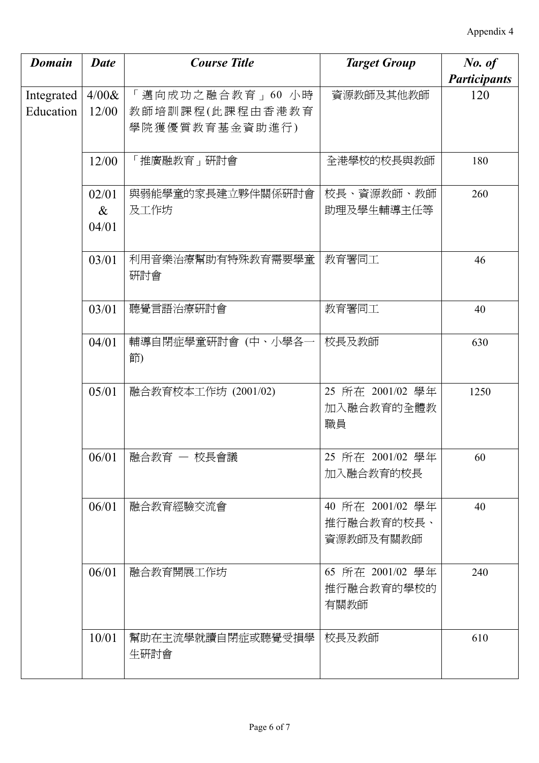| <b>Domain</b>           | <b>Date</b>            | <b>Course Title</b>                                   | <b>Target Group</b>                         | No. of                     |
|-------------------------|------------------------|-------------------------------------------------------|---------------------------------------------|----------------------------|
| Integrated<br>Education | 4/00 &<br>12/00        | 「邁向成功之融合教育」60 小時<br>教師培訓課程(此課程由香港教育<br>學院獲優質教育基金資助進行) | 資源教師及其他教師                                   | <b>Participants</b><br>120 |
|                         | 12/00                  | 「推廣融教育」研討會                                            | 全港學校的校長與教師                                  | 180                        |
|                         | 02/01<br>$\&$<br>04/01 | 與弱能學童的家長建立夥伴關係硏討會<br>及工作坊                             | 校長、資源教師、教師<br>助理及學生輔導主任等                    | 260                        |
|                         | 03/01                  | 利用音樂治療幫助有特殊教育需要學童<br>研討會                              | 教育署同工                                       | 46                         |
|                         | 03/01                  | 聽覺言語治療硏討會                                             | 教育署同工                                       | 40                         |
|                         | 04/01                  | 輔導自閉症學童硏討會 (中、小學各一<br>節)                              | 校長及教師                                       | 630                        |
|                         | 05/01                  | 融合教育校本工作坊 (2001/02)                                   | 25 所在 2001/02 學年<br>加入融合教育的全體教<br>職員        | 1250                       |
|                         | 06/01                  | 融合教育 ― 校長會議                                           | 25 所在 2001/02 學年<br>加入融合教育的校長               | 60                         |
|                         | 06/01                  | 融合教育經驗交流會                                             | 40 所在 2001/02 學年<br>推行融合教育的校長、<br>資源教師及有關教師 | 40                         |
|                         | 06/01                  | 融合教育開展工作坊                                             | 65 所在 2001/02 學年<br>推行融合教育的學校的<br>有關教師      | 240                        |
|                         | 10/01                  | 幫助在主流學就讀自閉症或聽覺受損學<br>生研討會                             | 校長及教師                                       | 610                        |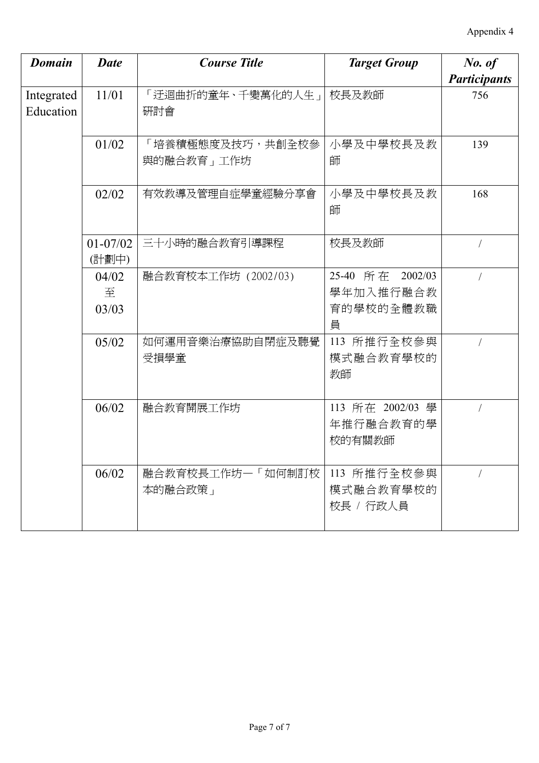| <b>Domain</b>           | <b>Date</b>           | <b>Course Title</b>            | <b>Target Group</b>                             | No. of<br><b>Participants</b> |
|-------------------------|-----------------------|--------------------------------|-------------------------------------------------|-------------------------------|
| Integrated<br>Education | 11/01                 | 「迂迴曲折的童年、千變萬化的人生」 <br>硏討會      | 校長及教師                                           | 756                           |
|                         | 01/02                 | 「培養積極態度及技巧,共創全校參<br>與的融合教育」工作坊 | 小學及中學校長及教<br>師                                  | 139                           |
|                         | 02/02                 | 有效教導及管理自症學童經驗分享會               | 小學及中學校長及教<br>師                                  | 168                           |
|                         | $01 - 07/02$<br>(計劃中) | 三十小時的融合教育引導課程                  | 校長及教師                                           |                               |
|                         | 04/02<br>至<br>03/03   | 融合教育校本工作坊 (2002/03)            | 25-40 所在 2002/03<br>學年加入推行融合教<br>育的學校的全體教職<br>員 |                               |
|                         | 05/02                 | 如何運用音樂治療協助自閉症及聽覺<br>受損學童       | 113 所推行全校參與<br>模式融合教育學校的<br>教師                  |                               |
|                         | 06/02                 | 融合教育開展工作坊                      | 113 所在 2002/03 學<br>年推行融合教育的學<br>校的有關教師         |                               |
|                         | 06/02                 | 融合教育校長工作坊一「如何制訂校<br>本的融合政策」    | 113 所推行全校參與<br>模式融合教育學校的<br>校長 / 行政人員           |                               |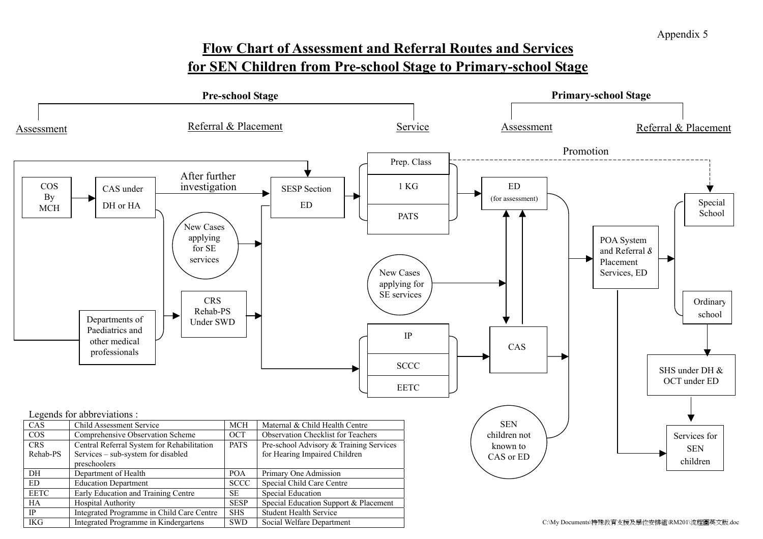# **Flow Chart of Assessment and Referral Routes and Services for SEN Children from Pre-school Stage to Primary-school Stage**

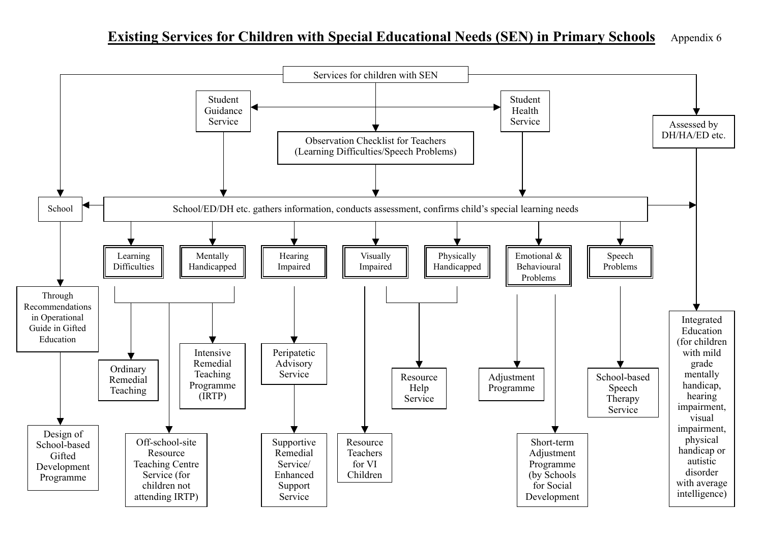#### **Existing Services for Children with Special Educational Needs (SEN) in Primary Schools** Appendix 6

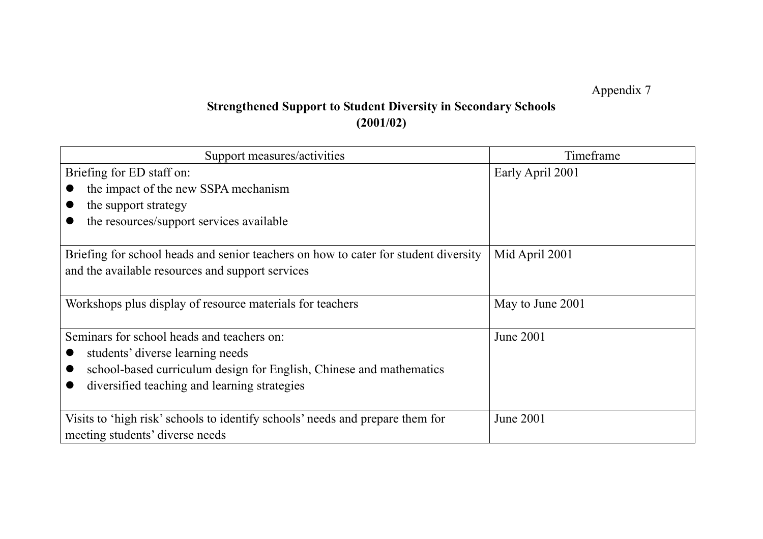Appendix 7

# **Strengthened Support to Student Diversity in Secondary Schools (2001/02)**

| Support measures/activities                                                         | Timeframe        |
|-------------------------------------------------------------------------------------|------------------|
| Briefing for ED staff on:                                                           | Early April 2001 |
| the impact of the new SSPA mechanism                                                |                  |
| the support strategy                                                                |                  |
| the resources/support services available                                            |                  |
|                                                                                     |                  |
| Briefing for school heads and senior teachers on how to cater for student diversity | Mid April 2001   |
| and the available resources and support services                                    |                  |
|                                                                                     |                  |
| Workshops plus display of resource materials for teachers                           | May to June 2001 |
| Seminars for school heads and teachers on:                                          | June 2001        |
| students' diverse learning needs                                                    |                  |
| school-based curriculum design for English, Chinese and mathematics                 |                  |
| diversified teaching and learning strategies                                        |                  |
|                                                                                     |                  |
| Visits to 'high risk' schools to identify schools' needs and prepare them for       | <b>June 2001</b> |
| meeting students' diverse needs                                                     |                  |